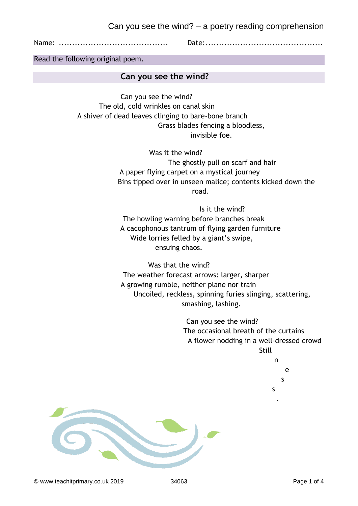

Name: ......................................... Date:............................................

Read the following original poem.

# **Can you see the wind?**

Can you see the wind? The old, cold wrinkles on canal skin A shiver of dead leaves clinging to bare-bone branch Grass blades fencing a bloodless, invisible foe.

> Was it the wind? The ghostly pull on scarf and hair A paper flying carpet on a mystical journey Bins tipped over in unseen malice; contents kicked down the road.

Is it the wind? The howling warning before branches break A cacophonous tantrum of flying garden furniture Wide lorries felled by a giant's swipe, ensuing chaos.

Was that the wind? The weather forecast arrows: larger, sharper A growing rumble, neither plane nor train Uncoiled, reckless, spinning furies slinging, scattering, smashing, lashing.

> Can you see the wind? The occasional breath of the curtains A flower nodding in a well-dressed crowd Still n

> > e s

s .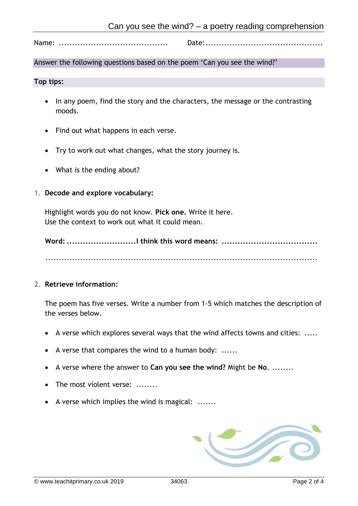Name: ......................................... Date:............................................

# Answer the following questions based on the poem 'Can you see the wind?'

#### **Top tips:**

- In any poem, find the story and the characters, the message or the contrasting moods.
- Find out what happens in each verse.
- Try to work out what changes, what the story journey is.
- What is the ending about?

### **1. Decode and explore vocabulary:**

Highlight words you do not know. **Pick one.** Write it here. Use the context to work out what it could mean.

**Word: ..........................I think this word means: ....................................**

......................................................................................................

### **2. Retrieve information:**

The poem has five verses. Write a number from 1-5 which matches the description of the verses below.

- A verse which explores several ways that the wind affects towns and cities: .....
- A verse that compares the wind to a human body: ......
- A verse where the answer to **Can you see the wind?** Might be **No**. ........
- The most violent verse: .......
- A verse which implies the wind is magical: .......

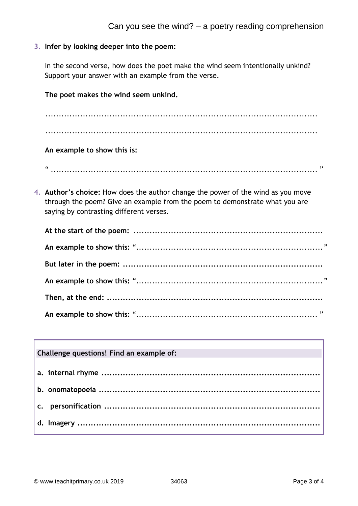# **3. Infer by looking deeper into the poem:**

In the second verse, how does the poet make the wind seem intentionally unkind? Support your answer with an example from the verse.

**The poet makes the wind seem unkind.**

...................................................................................................... ......................................................................................................

**An example to show this is:** 

" .................................................................................................... "

**4. Author's choice:** How does the author change the power of the wind as you move through the poem? Give an example from the poem to demonstrate what you are saying by contrasting different verses.

# **Challenge questions! Find an example of:**